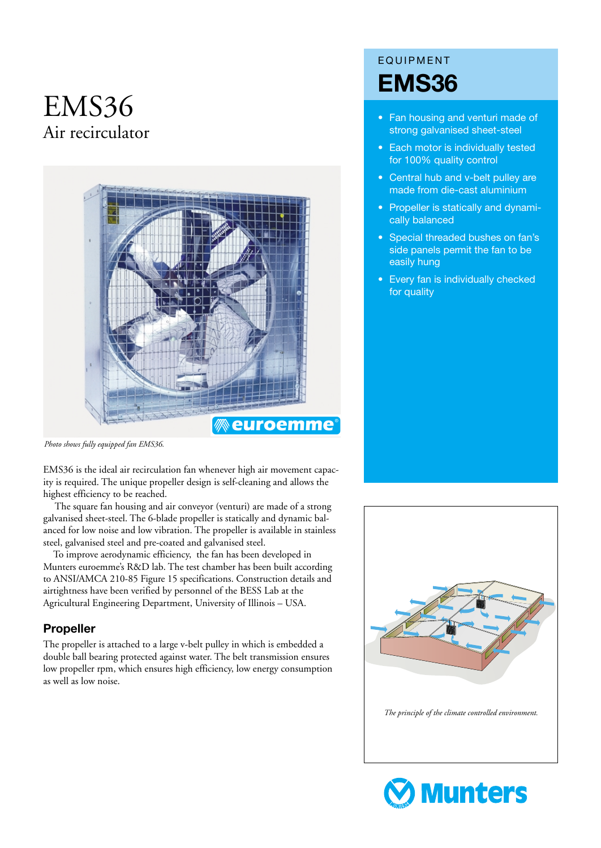# EMS36 Air recirculator



*Photo shows fully equipped fan EMS36.*

EMS36 is the ideal air recirculation fan whenever high air movement capacity is required. The unique propeller design is self-cleaning and allows the highest efficiency to be reached.

The square fan housing and air conveyor (venturi) are made of a strong galvanised sheet-steel. The 6-blade propeller is statically and dynamic balanced for low noise and low vibration. The propeller is available in stainless steel, galvanised steel and pre-coated and galvanised steel.

To improve aerodynamic efficiency, the fan has been developed in Munters euroemme's R&D lab. The test chamber has been built according to ANSI/AMCA 210-85 Figure 15 specifications. Construction details and airtightness have been verified by personnel of the BESS Lab at the Agricultural Engineering Department, University of Illinois – USA.

#### **Propeller**

The propeller is attached to a large v-belt pulley in which is embedded a double ball bearing protected against water. The belt transmission ensures low propeller rpm, which ensures high efficiency, low energy consumption as well as low noise.

## EQUIPMENT **EMS36**

- Fan housing and venturi made of strong galvanised sheet-steel
- Each motor is individually tested for 100% quality control
- Central hub and v-belt pulley are made from die-cast aluminium
- Propeller is statically and dynamically balanced
- Special threaded bushes on fan's side panels permit the fan to be easily hung
- Every fan is individually checked for quality